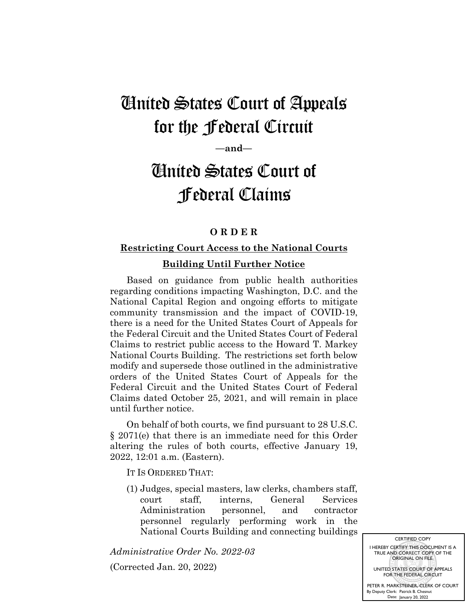## United States Court of Appeals for the Federal Circuit

**—and—**

# United States Court of Federal Claims

### **O R D E R**

### **Restricting Court Access to the National Courts Building Until Further Notice**

Based on guidance from public health authorities regarding conditions impacting Washington, D.C. and the National Capital Region and ongoing efforts to mitigate community transmission and the impact of COVID-19, there is a need for the United States Court of Appeals for the Federal Circuit and the United States Court of Federal Claims to restrict public access to the Howard T. Markey National Courts Building. The restrictions set forth below modify and supersede those outlined in the administrative orders of the United States Court of Appeals for the Federal Circuit and the United States Court of Federal Claims dated October 25, 2021, and will remain in place until further notice.

On behalf of both courts, we find pursuant to 28 U.S.C. § 2071(e) that there is an immediate need for this Order altering the rules of both courts, effective January 19, 2022, 12:01 a.m. (Eastern).

IT IS ORDERED THAT:

(1) Judges, special masters, law clerks, chambers staff, court staff, interns, General Services Administration personnel, and contractor personnel regularly performing work in the National Courts Building and connecting buildings

*Administrative Order No. 2022-03*

(Corrected Jan. 20, 2022)

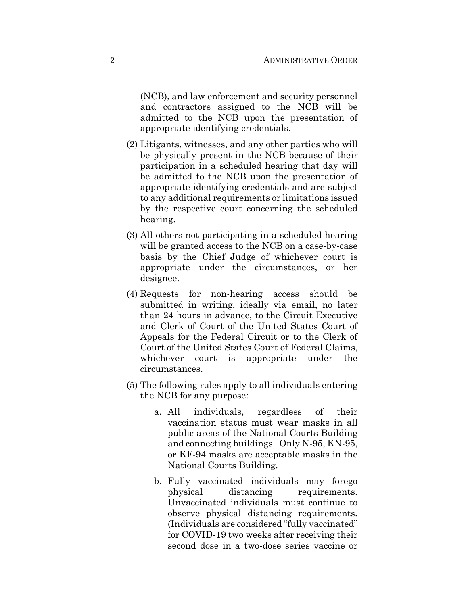(NCB), and law enforcement and security personnel and contractors assigned to the NCB will be admitted to the NCB upon the presentation of appropriate identifying credentials.

- (2) Litigants, witnesses, and any other parties who will be physically present in the NCB because of their participation in a scheduled hearing that day will be admitted to the NCB upon the presentation of appropriate identifying credentials and are subject to any additional requirements or limitations issued by the respective court concerning the scheduled hearing.
- (3) All others not participating in a scheduled hearing will be granted access to the NCB on a case-by-case basis by the Chief Judge of whichever court is appropriate under the circumstances, or her designee.
- (4) Requests for non-hearing access should be submitted in writing, ideally via email, no later than 24 hours in advance, to the Circuit Executive and Clerk of Court of the United States Court of Appeals for the Federal Circuit or to the Clerk of Court of the United States Court of Federal Claims, whichever court is appropriate under the circumstances.
- (5) The following rules apply to all individuals entering the NCB for any purpose:
	- a. All individuals, regardless of their vaccination status must wear masks in all public areas of the National Courts Building and connecting buildings. Only N-95, KN-95, or KF-94 masks are acceptable masks in the National Courts Building.
	- b. Fully vaccinated individuals may forego physical distancing requirements. Unvaccinated individuals must continue to observe physical distancing requirements. (Individuals are considered "fully vaccinated" for COVID-19 two weeks after receiving their second dose in a two-dose series vaccine or